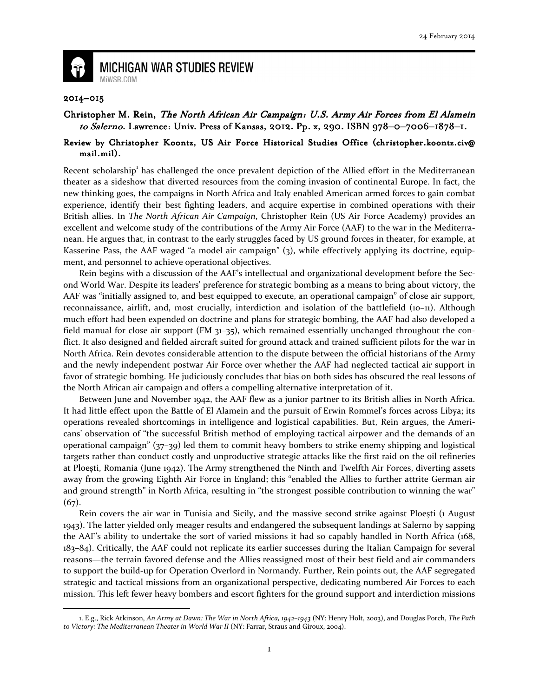

**MICHIGAN WAR STUDIES REVIEW** MiWSR.COM

## 2014–015

 $\overline{\phantom{0}}$ 

## Christopher M. Rein, The North African Air Campaign: U.S. Army Air Forces from El Alamein to Salerno. Lawrence: Univ. Press of Kansas, 2012. Pp. x, 290. ISBN 978-0-7006-1878-1.

## Review by Christopher Koontz, US Air Force Historical Studies Office (christopher.koontz.civ@ mail.mil).

Recent scholarship<sup>1</sup> has challenged the once prevalent depiction of the Allied effort in the Mediterranean theater as a sideshow that diverted resources from the coming invasion of continental Europe. In fact, the new thinking goes, the campaigns in North Africa and Italy enabled American armed forces to gain combat experience, identify their best fighting leaders, and acquire expertise in combined operations with their British allies. In The North African Air Campaign, Christopher Rein (US Air Force Academy) provides an excellent and welcome study of the contributions of the Army Air Force (AAF) to the war in the Mediterranean. He argues that, in contrast to the early struggles faced by US ground forces in theater, for example, at Kasserine Pass, the AAF waged "a model air campaign" (3), while effectively applying its doctrine, equipment, and personnel to achieve operational objectives.

Rein begins with a discussion of the AAF's intellectual and organizational development before the Second World War. Despite its leaders' preference for strategic bombing as a means to bring about victory, the AAF was "initially assigned to, and best equipped to execute, an operational campaign" of close air support, reconnaissance, airlift, and, most crucially, interdiction and isolation of the battlefield (10–11). Although much effort had been expended on doctrine and plans for strategic bombing, the AAF had also developed a field manual for close air support (FM  $31-35$ ), which remained essentially unchanged throughout the conflict. It also designed and fielded aircraft suited for ground attack and trained sufficient pilots for the war in North Africa. Rein devotes considerable attention to the dispute between the official historians of the Army and the newly independent postwar Air Force over whether the AAF had neglected tactical air support in favor of strategic bombing. He judiciously concludes that bias on both sides has obscured the real lessons of the North African air campaign and offers a compelling alternative interpretation of it.

Between June and November 1942, the AAF flew as a junior partner to its British allies in North Africa. It had little effect upon the Battle of El Alamein and the pursuit of Erwin Rommel's forces across Libya; its operations revealed shortcomings in intelligence and logistical capabilities. But, Rein argues, the Americans' observation of "the successful British method of employing tactical airpower and the demands of an operational campaign" (37–39) led them to commit heavy bombers to strike enemy shipping and logistical targets rather than conduct costly and unproductive strategic attacks like the first raid on the oil refineries at Ploeşti, Romania (June 1942). The Army strengthened the Ninth and Twelfth Air Forces, diverting assets away from the growing Eighth Air Force in England; this "enabled the Allies to further attrite German air and ground strength" in North Africa, resulting in "the strongest possible contribution to winning the war" (67).

Rein covers the air war in Tunisia and Sicily, and the massive second strike against Ploeşti (1 August 1943). The latter yielded only meager results and endangered the subsequent landings at Salerno by sapping the AAF's ability to undertake the sort of varied missions it had so capably handled in North Africa (168, 183–84). Critically, the AAF could not replicate its earlier successes during the Italian Campaign for several reasons—the terrain favored defense and the Allies reassigned most of their best field and air commanders to support the build-up for Operation Overlord in Normandy. Further, Rein points out, the AAF segregated strategic and tactical missions from an organizational perspective, dedicating numbered Air Forces to each mission. This left fewer heavy bombers and escort fighters for the ground support and interdiction missions

<sup>1.</sup> E.g., Rick Atkinson, An Army at Dawn: The War in North Africa, 1942–1943 (NY: Henry Holt, 2003), and Douglas Porch, The Path to Victory: The Mediterranean Theater in World War II (NY: Farrar, Straus and Giroux, 2004).